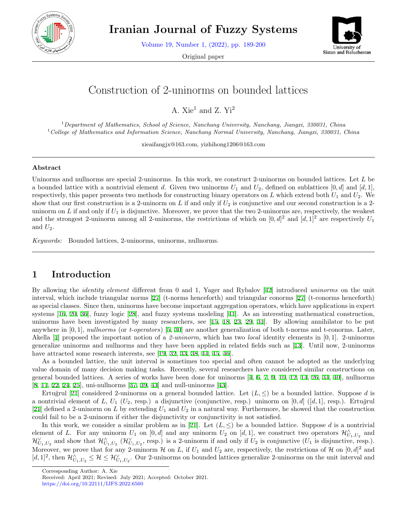

**Iranian Journal of Fuzzy Systems**

Volume 19, Number 1, (2022), pp. 189-200

Original paper



# Construction of 2-uninorms on bounded lattices

A.  $Xie<sup>1</sup>$  and Z.  $Yi<sup>2</sup>$ 

<sup>1</sup>*Department of Mathematics, School of Science, Nanchang University, Nanchang, Jiangxi, 330031, China* <sup>1</sup>*College of Mathematics and Information Science, Nanchang Normal University, Nanchang, Jiangxi, 330031, China*

xieaifangjx@163.com, yizhihong1206@163.com

#### **Abstract**

Uninorms and nullnorms are special 2-uninorms. In this work, we construct 2-uninorms on bounded lattices. Let *L* be a bounded lattice with a nontrivial element *d*. Given two uninorms  $U_1$  and  $U_2$ , defined on sublattices [0, *d*] and [*d*, 1], respectively, this paper presents two methods for constructing binary operators on *L* which extend both *U*<sup>1</sup> and *U*2. We show that our first construction is a 2-uninorm on  $L$  if and only if  $U_2$  is conjunctive and our second construction is a 2uninorm on  $L$  if and only if  $U_1$  is disjunctive. Moreover, we prove that the two 2-uninorms are, respectively, the weakest and the strongest 2-uninorm among all 2-uninorms, the restrictions of which on  $[0, d]^2$  and  $[d, 1]^2$  are respectively  $U_1$ and  $U_2$ .

*Keywords:* Bounded lattices, 2-uninorms, uninorms, nullnorms.

# **1 Introduction**

By allowing the *identity element* different from 0 and 1, Yager and Rybalov [[42\]](#page-11-0) introduced *uninorms* on the unit interval, which include triangular norms [\[27](#page-11-1)] (t-norms henceforth) and triangular conorms [[27\]](#page-11-1) (t-conorms henceforth) as special classes. Since then, uninorms have become important aggregation operators, which have applications in expert systems [\[16](#page-10-0), [20,](#page-10-1) [36\]](#page-11-2), fuzzy logic [[28](#page-11-3)], and fuzzy systems modeling [[41\]](#page-11-4). As an interesting mathematical construction, uninorms have been investigated by many researchers, see [[15,](#page-10-2) [18](#page-10-3), [23](#page-11-5), [29,](#page-11-6) [31](#page-11-7)]. By allowing annihilator to be put anywhere in [0*,* 1], *nullnorms* (or *t-operators*) [[5,](#page-10-4) [30\]](#page-11-8) are another generalization of both t-norms and t-conorms. Later, Akella [\[1](#page-10-5)] proposed the important notion of a *2-uninorm*, which has two *local* identity elements in [0*,* 1]. 2-uninorms generalize uninorms and nullnorms and they have been applied in related fields such as [[13\]](#page-10-6). Until now, 2-uninorms have attracted some research interests, see [\[19](#page-10-7), [32](#page-11-9), [33](#page-11-10), [38](#page-11-11), [44](#page-11-12), [45](#page-11-13), [46\]](#page-11-14).

As a bounded lattice, the unit interval is sometimes too special and often cannot be adopted as the underlying value domain of many decision making tasks. Recently, several researchers have considered similar constructions on general bounded lattices. A series of works have been done for uninorms [[4,](#page-10-8) [6,](#page-10-9) [7](#page-10-10), [9,](#page-10-11) [10,](#page-10-12) [12](#page-10-13), [14,](#page-10-14) [26,](#page-11-15) [34](#page-11-16), [40\]](#page-11-17), nullnorms [[8,](#page-10-15) [11,](#page-10-16) [22](#page-11-18), [24](#page-11-19), [25](#page-11-20)], uni-nullnorms [\[37](#page-11-21), [39](#page-11-22), [43](#page-11-23)] and null-uninorms [[43\]](#page-11-23).

Ertuğrul [[21\]](#page-10-17) considered 2-uninorms on a general bounded lattice. Let  $(L, \leq)$  be a bounded lattice. Suppose *d* is a nontrivial element of *L*,  $U_1$  ( $U_2$ , resp.) a disjunctive (conjunctive, resp.) uninorm on [0, *d*] ([*d*, 1], resp.). Ertu $\check{g}$ rul [[21\]](#page-10-17) defined a 2-uninorm on  $L$  by extending  $U_1$  and  $U_2$  in a natural way. Furthermore, he showed that the construction could fail to be a 2-uninorm if either the disjunctivity or conjunctivity is not satisfied.

In this work, we consider a similar problem as in [[21\]](#page-10-17). Let  $(L, \leq)$  be a bounded lattice. Suppose d is a nontrivial element of *L*. For any uninorm  $U_1$  on  $[0,d]$  and any uninorm  $U_2$  on  $[d,1]$ , we construct two operators  $\mathcal{H}_{U_1,U_2}^{\wedge}$  and  $\mathcal{H}_{U_1,U_2}^{\vee}$  and show that  $\mathcal{H}_{U_1,U_2}^{\wedge}$  ( $\mathcal{H}_{U_1,U_2}^{\vee}$ , resp.) is a 2-uninorm if and only if  $U_2$  is conjunctive ( $U_1$  is disjunctive, resp.). Moreover, we prove that for any 2-uninorm  $H$  on  $L$ , if  $U_1$  and  $U_2$  are, respectively, the restrictions of  $H$  on  $[0, d]^2$  and  $[d, 1]^2$ , then  $\mathcal{H}^{\wedge}_{U_1, U_2} \leq \mathcal{H} \leq \mathcal{H}^{\vee}_{U_1, U_2}$ . Our 2-uninorms on bounded lattices generalize 2-uninorms on the unit interval and

Corresponding Author: A. Xie

Received: April 2021; Revised: July 2021; Accepted: October 2021.

https://doi.org/10.22111/IJFS.2022.6560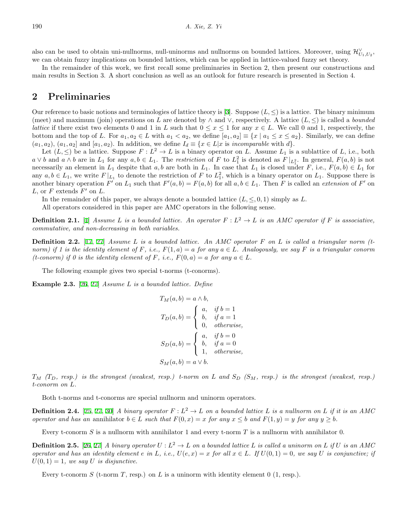also can be used to obtain uni-nullnorms, null-uninorms and nullnorms on bounded lattices. Moreover, using  $\mathcal{H}_{U_1,U_2}^{\vee}$ , we can obtain fuzzy implications on bounded lattices, which can be applied in lattice-valued fuzzy set theory.

In the remainder of this work, we first recall some preliminaries in Section 2, then present our constructions and main results in Section 3. A short conclusion as well as an outlook for future research is presented in Section 4.

### **2 Preliminaries**

Our reference to basic notions and terminologies of lattice theory is [[3\]](#page-10-18). Suppose (*L, ≤*) is a lattice. The binary minimum (meet) and maximum (join) operations on *L* are denoted by  $\land$  and  $\lor$ , respectively. A lattice  $(L, \leq)$  is called a *bounded lattice* if there exist two elements 0 and 1 in *L* such that  $0 \leq x \leq 1$  for any  $x \in L$ . We call 0 and 1, respectively, the bottom and the top of L. For  $a_1, a_2 \in L$  with  $a_1 < a_2$ , we define  $[a_1, a_2] \equiv \{x \mid a_1 \leq x \leq a_2\}$ . Similarly, we can define  $(a_1, a_2), (a_1, a_2]$  and  $[a_1, a_2)$ . In addition, we define  $I_d \equiv \{x \in L | x \text{ is *incomparable* with  $d\}$ .$ 

Let  $(L, \leq)$  be a lattice. Suppose  $F: L^2 \to L$  is a binary operator on *L*. Assume  $L_1$  is a sublattice of *L*, i.e., both  $a \vee b$  and  $a \wedge b$  are in  $L_1$  for any  $a, b \in L_1$ . The restriction of F to  $L_1^2$  is denoted as  $F|_{L_1^2}$ . In general,  $F(a, b)$  is not necessarily an element in  $L_1$  despite that  $a, b$  are both in  $L_1$ . In case that  $L_1$  is closed under  $F$ , i.e.,  $F(a, b) \in L_1$  for any  $a, b \in L_1$ , we write  $F|_{L_1}$  to denote the restriction of  $F$  to  $L_1^2$ , which is a binary operator on  $L_1$ . Suppose there is another binary operation F' on  $L_1$  such that  $F'(a, b) = F(a, b)$  for all  $a, b \in L_1$ . Then F is called an *extension* of F' on  $L$ , or  $F$  extends  $F'$  on  $L$ .

In the remainder of this paper, we always denote a bounded lattice  $(L, \leq, 0, 1)$  simply as L.

All operators considered in this paper are AMC operators in the following sense.

**Definition 2.1.** [[1\]](#page-10-5) Assume L is a bounded lattice. An operator  $F: L^2 \to L$  is an AMC operator if F is associative, *commutative, and non-decreasing in both variables.*

**Definition 2.2.** [[17,](#page-10-19) [27](#page-11-1)] *Assume L is a bounded lattice. An AMC operator F on L is called a triangular norm (tnorm)* if 1 is the identity element of F, i.e.,  $F(1,a) = a$  *for any*  $a \in L$ *. Analogously, we say* F *is a triangular conorm (t-conorm)* if 0 is the identity element of F, i.e.,  $F(0, a) = a$  *for any*  $a \in L$ .

The following example gives two special t-norms (t-conorms).

**Example 2.3.** [\[26](#page-11-15), [27](#page-11-1)] *Assume L is a bounded lattice. Define*

$$
T_M(a, b) = a \wedge b,
$$
  
\n
$$
T_D(a, b) = \begin{cases} a, & \text{if } b = 1 \\ b, & \text{if } a = 1 \\ 0, & \text{otherwise,} \end{cases}
$$
  
\n
$$
S_D(a, b) = \begin{cases} a, & \text{if } b = 0 \\ b, & \text{if } a = 0 \\ 1, & \text{otherwise,} \end{cases}
$$
  
\n
$$
S_M(a, b) = a \vee b.
$$

 $T_M$  *(T<sub>D</sub>*, resp.) is the strongest (weakest, resp.) t-norm on *L* and  $S_D$  *(S<sub>M</sub>*, resp.) is the strongest (weakest, resp.) *t-conorm on L.*

Both t-norms and t-conorms are special nullnorm and uninorm operators.

**Definition 2.4.** [\[25](#page-11-20), [27,](#page-11-1) [30\]](#page-11-8) *A* binary operator  $F: L^2 \to L$  on a bounded lattice *L* is a nullnorm on *L* if it is an *AMC* operator and has an annihilator  $b \in L$  such that  $F(0, x) = x$  for any  $x \leq b$  and  $F(1, y) = y$  for any  $y \geq b$ .

Every t-conorm *S* is a nullnorm with annihilator 1 and every t-norm *T* is a nullnorm with annihilator 0.

**Definition 2.5.** [\[26](#page-11-15), [27](#page-11-1)] *A binary operator*  $U: L^2 \to L$  *on a bounded lattice L is called a uninorm on L if U is an AMC* operator and has an identity element e in L, i.e.,  $U(e, x) = x$  for all  $x \in L$ . If  $U(0, 1) = 0$ , we say U is conjunctive; if  $U(0,1) = 1$ *, we say U is disjunctive.* 

Every t-conorm *S* (t-norm *T*, resp.) on *L* is a uninorm with identity element 0 (1, resp.).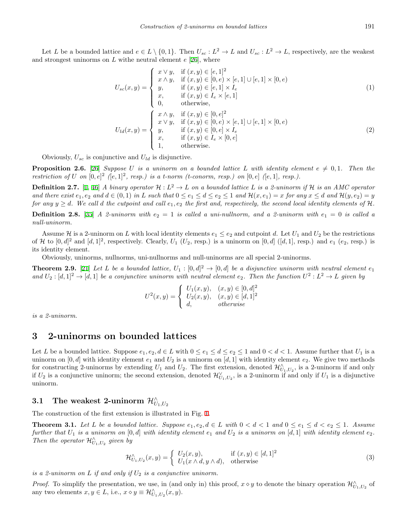Let L be a bounded lattice and  $e \in L \setminus \{0,1\}$ . Then  $U_{sc}: L^2 \to L$  and  $U_{sc}: L^2 \to L$ , respectively, are the weakest and strongest uninorms on *L* withe neutral element *e* [\[26](#page-11-15)], where

$$
U_{sc}(x,y) = \begin{cases} x \lor y, & \text{if } (x,y) \in [e,1]^2 \\ x \land y, & \text{if } (x,y) \in [0,e) \times [e,1] \cup [e,1] \times [0,e) \\ y, & \text{if } (x,y) \in [e,1] \times I_e \\ x, & \text{if } (x,y) \in I_e \times [e,1] \\ 0, & \text{otherwise,} \end{cases}
$$
(1)  

$$
U_{ld}(x,y) = \begin{cases} x \land y, & \text{if } (x,y) \in [0,e]^2 \\ x \lor y, & \text{if } (x,y) \in [0,e) \times [e,1] \cup [e,1] \times [0,e) \\ y, & \text{if } (x,y) \in [0,e] \times I_e \\ x, & \text{if } (x,y) \in I_e \times [0,e] \\ 1, & \text{otherwise.} \end{cases}
$$
(2)

Obviously,  $U_{sc}$  is conjunctive and  $U_{ld}$  is disjunctive.

**Proposition 2.6.** [[26\]](#page-11-15) *Suppose U is a uninorm on a bounded lattice L* with identity element  $e \neq 0,1$ . Then the *restriction of U* on  $[0, e]^2$   $([e, 1]^2, resp.)$  is a *t*-norm (*t*-conorm, resp.) on  $[0, e]$   $([e, 1], resp.)$ .

**Definition 2.7.** [[1,](#page-10-5) [46\]](#page-11-14) *A binary operator*  $H: L^2 \to L$  *on a bounded lattice L is a 2-uninorm if*  $H$  *is an AMC operator* and there exist  $e_1, e_2$  and  $d \in (0,1)$  in L such that  $0 \le e_1 \le d \le e_2 \le 1$  and  $\mathcal{H}(x,e_1) = x$  for any  $x \le d$  and  $\mathcal{H}(y,e_2) = y$ *for any*  $y \geq d$ *. We call d the cutpoint and call*  $e_1, e_2$  *the first and, respectively, the second local identity elements of*  $H$ *.* 

**Definition 2.8.** [\[35](#page-11-24)] *A 2-uninorm with*  $e_2 = 1$  *is called a uni-nullnorm, and a 2-uninorm with*  $e_1 = 0$  *is called a null-uninorm.*

Assume  $H$  is a 2-uninorm on *L* with local identity elements  $e_1 \leq e_2$  and cutpoint *d*. Let  $U_1$  and  $U_2$  be the restrictions of *H* to  $[0, d]^2$  and  $[d, 1]^2$ , respectively. Clearly,  $U_1$  ( $U_2$ , resp.) is a uninorm on  $[0, d]$  ( $[d, 1]$ , resp.) and  $e_1$  ( $e_2$ , resp.) is its identity element.

Obviously, uninorms, nullnorms, uni-nullnorms and null-uninorms are all special 2-uninorms.

**Theorem 2.9.** [\[21](#page-10-17)] Let L be a bounded lattice,  $U_1 : [0, d]^2 \to [0, d]$  be a disjunctive uninorm with neutral element  $e_1$  $\mathbb{Z}^2$   $\colon [d,1]^2 \to [d,1]$  *be a conjunctive uninorm with neutral element*  $e_2$ . Then the function  $U^2: L^2 \to L$  given by

$$
U^{2}(x,y) = \begin{cases} U_{1}(x,y), & (x,y) \in [0,d]^{2} \\ U_{2}(x,y), & (x,y) \in [d,1]^{2} \\ d, & otherwise \end{cases}
$$

*is a 2-uninorm.*

### **3 2-uninorms on bounded lattices**

Let *L* be a bounded lattice. Suppose  $e_1, e_2, d \in L$  with  $0 \le e_1 \le d \le e_2 \le 1$  and  $0 < d < 1$ . Assume further that  $U_1$  is a uninorm on  $[0, d]$  with identity element  $e_1$  and  $U_2$  is a uninorm on  $[d, 1]$  with identity element  $e_2$ . We give two methods for constructing 2-uninorms by extending  $U_1$  and  $U_2$ . The first extension, denoted  $\mathcal{H}_{U_1,U_2}^{\wedge}$ , is a 2-uninorm if and only if  $U_2$  is a conjunctive uninorm; the second extension, denoted  $\mathcal{H}_{U_1,U_2}^{\vee}$ , is a 2-uninorm if and only if  $U_1$  is a disjunctive uninorm.

# $\textbf{3.1} \quad \textbf{The weakest 2-uninorm } \; \mathcal{H}^{\wedge}_{U_1,U_2}$

The construction of the first extension is illustrated in Fig. [1.](#page-3-0)

<span id="page-2-0"></span>**Theorem 3.1.** Let L be a bounded lattice. Suppose  $e_1, e_2, d \in L$  with  $0 < d < 1$  and  $0 \le e_1 \le d < e_2 \le 1$ . Assume *further that*  $U_1$  *is a uninorm on*  $[0,d]$  *with identity element*  $e_1$  *and*  $U_2$  *is a uninorm on*  $[d,1]$  *with identity element*  $e_2$ *. Then the operator*  $\mathcal{H}_{U_1,U_2}^{\wedge}$  *given by* 

$$
\mathcal{H}^{\wedge}_{U_1,U_2}(x,y) = \begin{cases} U_2(x,y), & \text{if } (x,y) \in [d,1]^2 \\ U_1(x \wedge d, y \wedge d), & \text{otherwise} \end{cases}
$$
\n(3)

*is a 2-uninorm on L if and only if U*<sup>2</sup> *is a conjunctive uninorm.*

*Proof.* To simplify the presentation, we use, in (and only in) this proof,  $x \diamond y$  to denote the binary operation  $\mathcal{H}_{U_1,U_2}^{\wedge}$  of any two elements  $x, y \in L$ , i.e.,  $x \diamond y \equiv \mathcal{H}_{U_1, U_2}^{\wedge}(x, y)$ .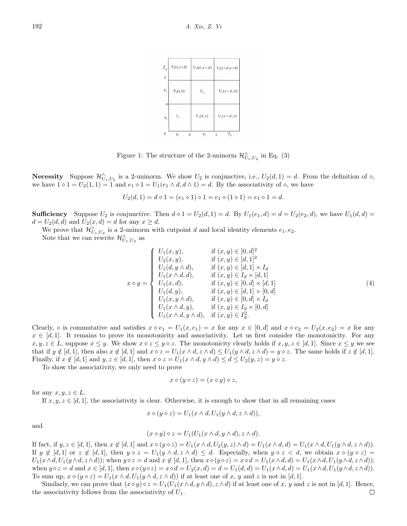| $I_d$<br>$\mathbf 1$                | $U_1(x, y \wedge d)$ | $U_1(d, y \wedge d)$ | $U_1(x \wedge d, y \wedge d)$ |
|-------------------------------------|----------------------|----------------------|-------------------------------|
| $\mathbf{e}_{\scriptscriptstyle 2}$ | $U_1(x,d)$           | $U_{2}$              | $U_1(x \wedge d, d)$          |
| d<br>e <sub>1</sub>                 | U,                   | $U_1(d, y)$          | $U_1(x \wedge d, y)$          |
| 0                                   | e,<br>d              | e,                   | $I_d$<br>1                    |

<span id="page-3-0"></span>Figure 1: The structure of the 2-uninorm  $\mathcal{H}_{U_1,U_2}^{\wedge}$  in Eq. (3)

**Necessity** Suppose  $\mathcal{H}^{\wedge}_{U_1,U_2}$  is a 2-uninorm. We show  $U_2$  is conjunctive, i.e.,  $U_2(d,1) = d$ . From the definition of  $\diamond$ , we have  $1 \diamond 1 = U_2(1, 1) = 1$  and  $e_1 \diamond 1 = U_1(e_1 \wedge d, d \wedge 1) = d$ . By the associativity of  $\diamond$ , we have

$$
U_2(d, 1) = d \diamond 1 = (e_1 \diamond 1) \diamond 1 = e_1 \diamond (1 \diamond 1) = e_1 \diamond 1 = d.
$$

**Sufficiency** Suppose  $U_2$  is conjunctive. Then  $d \circ 1 = U_2(d, 1) = d$ . By  $U_1(e_1, d) = d = U_2(e_2, d)$ , we have  $U_1(d, d) = d$  $d = U_2(d, d)$  and  $U_2(x, d) = d$  for any  $x \geq d$ .

We prove that  $\mathcal{H}^{\wedge}_{U_1,U_2}$  is a 2-uninorm with cutpoint *d* and local identity elements  $e_1, e_2$ .

Note that we can rewrite  $\mathcal{H}_{U_1,U_2}^{\wedge}$  as

$$
x \diamond y = \begin{cases} U_1(x, y), & \text{if } (x, y) \in [0, d]^2 \\ U_2(x, y), & \text{if } (x, y) \in [d, 1]^2 \\ U_1(d, y \land d), & \text{if } (x, y) \in [d, 1] \times I_d \\ U_1(x \land d, d), & \text{if } (x, y) \in I_d \times [d, 1] \\ U_1(x, d), & \text{if } (x, y) \in [0, d] \times [d, 1] \\ U_1(d, y), & \text{if } (x, y) \in [d, 1] \times [0, d] \\ U_1(x, y \land d), & \text{if } (x, y) \in [0, d] \times I_d \\ U_1(x \land d, y), & \text{if } (x, y) \in I_d \times [0, d] \\ U_1(x \land d, y \land d), & \text{if } (x, y) \in I_d \times [0, d] \\ U_1(x \land d, y \land d), & \text{if } (x, y) \in I_d^2. \end{cases}
$$
\n
$$
(4)
$$

Clearly,  $\circ$  is commutative and satisfies  $x \circ e_1 = U_1(x, e_1) = x$  for any  $x \in [0, d]$  and  $x \circ e_2 = U_2(x, e_2) = x$  for any  $x \in [d, 1]$ . It remains to prove its monotonicity and associativity. Let us first consider the monotonicity. For any  $x, y, z \in L$ , suppose  $x \leq y$ . We show  $x \diamond z \leq y \diamond z$ . The monotonicity clearly holds if  $x, y, z \in [d, 1]$ . Since  $x \leq y$  we see that if  $y \notin [d, 1]$ , then also  $x \notin [d, 1]$  and  $x \diamond z = U_1(x \wedge d, z \wedge d) \leq U_1(y \wedge d, z \wedge d) = y \diamond z$ . The same holds if  $z \notin [d, 1]$ . Finally, if  $x \notin [d, 1]$  and  $y, z \in [d, 1]$ , then  $x \diamond z = U_1(x \wedge d, y \wedge d) \leq d \leq U_2(y, z) = y \diamond z$ .

To show the associativity, we only need to prove

$$
x \diamond (y \diamond z) = (x \diamond y) \diamond z,
$$

for any  $x, y, z \in L$ .

If  $x, y, z \in [d, 1]$ , the associativity is clear. Otherwise, it is enough to show that in all remaining cases

$$
x \diamond (y \diamond z) = U_1(x \wedge d, U_1(y \wedge d, z \wedge d)),
$$

and

$$
(x \diamond y) \diamond z = U_1(U_1(x \wedge d, y \wedge d), z \wedge d).
$$

If fact, if  $y, z \in [d, 1]$ , then  $x \notin [d, 1]$  and  $x \diamond (y \diamond z) = U_1(x \wedge d, U_2(y, z) \wedge d) = U_1(x \wedge d, d) = U_1(x \wedge d, U_1(y \wedge d, z \wedge d))$ . If  $y \notin [d,1]$  or  $z \notin [d,1]$ , then  $y \diamond z = U_1(y \wedge d, z \wedge d) \le d$ . Especially, when  $y \diamond z < d$ , we obtain  $x \diamond (y \diamond z) =$  $U_1(x\wedge d, U_1(y\wedge d, z\wedge d));$  when  $y\circ z = d$  and  $x \notin [d, 1]$ , then  $x\circ (y\circ z) = x\circ d = U_1(x\wedge d, d) = U_1(x\wedge d, U_1(y\wedge d, z\wedge d));$ when  $y \diamond z = d$  and  $x \in [d, 1]$ , then  $x \diamond (y \diamond z) = x \diamond d = U_2(x, d) = d = U_1(d, d) = U_1(x \wedge d, d) = U_1(x \wedge d, U_1(y \wedge d, z \wedge d))$ . To sum up,  $x \circ (y \circ z) = U_1(x \wedge d, U_1(y \wedge d, z \wedge d))$  if at least one of x, y and z is not in [d, 1].

Similarly, we can prove that  $(x \diamond y) \diamond z = U_1(U_1(x \wedge d, y \wedge d), z \wedge d)$  if at least one of x, y and z is not in [d, 1]. Hence, the associativity follows from the associativity of  $U_1$ .  $\Box$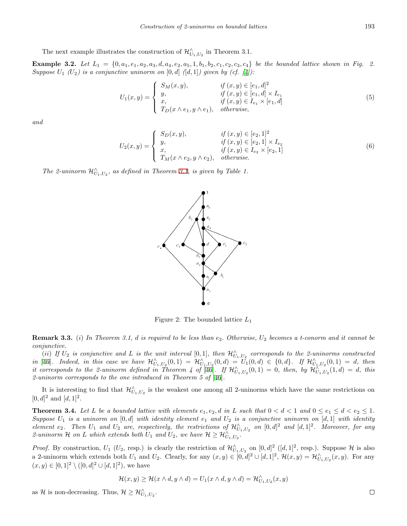The next example illustrates the construction of  $\mathcal{H}_{U_1,U_2}^{\wedge}$  in Theorem 3.1.

**Example 3.2.** Let  $L_1 = \{0, a_1, e_1, a_2, a_3, d, a_4, e_2, a_5, 1, b_1, b_2, c_1, c_2, c_3, c_4\}$  be the bounded lattice shown in Fig. 2. *Suppose*  $U_1$   $(U_2)$  *is a conjunctive uninorm on*  $[0, d]$   $([d, 1])$  *given by (cf.*  $[4])$  $[4])$  $[4])$ :

$$
U_1(x,y) = \begin{cases} S_M(x,y), & \text{if } (x,y) \in [e_1,d]^2 \\ y, & \text{if } (x,y) \in [e_1,d] \times I_{e_1} \\ x, & \text{if } (x,y) \in I_{e_1} \times [e_1,d] \\ T_D(x \wedge e_1, y \wedge e_1), & \text{otherwise,} \end{cases}
$$
(5)

*and*

$$
U_2(x,y) = \begin{cases} S_D(x,y), & \text{if } (x,y) \in [e_2,1]^2 \\ y, & \text{if } (x,y) \in [e_2,1] \times I_{e_2} \\ x, & \text{if } (x,y) \in I_{e_2} \times [e_2,1] \\ T_M(x \wedge e_2, y \wedge e_2), & \text{otherwise.} \end{cases}
$$
(6)

*The 2-uninorm*  $\mathcal{H}^{\wedge}_{U_1,U_2}$ *, as defined in Theorem [3.1](#page-2-0), is given by Table 1.* 



Figure 2: The bounded lattice *L*<sup>1</sup>

**Remark 3.3.** (*i*) *In Theorem 3.1, d is required to be less than e*2*. Otherwise, U*<sup>2</sup> *becomes a t-conorm and it cannot be conjunctive.*

(*ii*) If  $U_2$  is conjunctive and  $L$  is the unit interval  $[0,1]$ , then  $\mathcal{H}_{U_1,U_2}^{\wedge}$  corresponds to the 2-uninorms constructed in [[46](#page-11-14)]. Indeed, in this case we have  $\mathcal{H}^{\wedge}_{U_1,U_2}(0,1) = \mathcal{H}^{\wedge}_{U_1,U_2}(0,d) = U_1(0,d) \in \{0,d\}$ . If  $\mathcal{H}^{\wedge}_{U_1,U_2}(0,1) = d$ , then it corresponds to the 2-uninorm defined in Theorem 4 of [[46\]](#page-11-14). If  $\mathcal{H}^{\wedge}_{U_1,U_2}(0,1) = 0$ , then, by  $\mathcal{H}^{\wedge}_{U_1,U_2}(1,d) = d$ , this *2-uninorm corresponds to the one introduced in Theorem 5 of* [[46\]](#page-11-14)*.*

It is interesting to find that  $\mathcal{H}^{\wedge}_{U_1,U_2}$  is the weakest one among all 2-uninorms which have the same restrictions on  $[0, d]^2$  and  $[d, 1]^2$ .

**Theorem 3.4.** Let L be a bounded lattice with elements  $e_1, e_2, d$  in L such that  $0 < d < 1$  and  $0 \le e_1 \le d < e_2 \le 1$ . *Suppose U*<sup>1</sup> *is a uninorm on* [0*, d*] *with identity element e*<sup>1</sup> *and U*<sup>2</sup> *is a conjunctive uninorm on* [*d,* 1] *with identity* element  $e_2$ . Then  $U_1$  and  $U_2$  are, respectively, the restrictions of  $\mathcal{H}_{U_1,U_2}^{\wedge}$  on  $[0,d]^2$  and  $[d,1]^2$ . Moreover, for any *2*-uninorm  $H$  on  $L$  which extends both  $U_1$  and  $U_2$ , we have  $H \geq H_{U_1,U_2}^{\wedge}$ .

*Proof.* By construction,  $U_1$  ( $U_2$ , resp.) is clearly the restriction of  $\mathcal{H}_{U_1,U_2}^{\wedge}$  on  $[0,d]^2$  ( $[d,1]^2$ , resp.). Suppose  $\mathcal{H}$  is also a 2-uninorm which extends both  $U_1$  and  $U_2$ . Clearly, for any  $(x, y) \in [0, d]^2 \cup [d, 1]^2$ ,  $\mathcal{H}(x, y) = \mathcal{H}_{U_1, U_2}^{\wedge}(x, y)$ . For any  $(x, y) \in [0, 1]^2 \setminus ([0, d]^2 \cup [d, 1]^2)$ , we have

$$
\mathcal{H}(x,y) \geq \mathcal{H}(x \wedge d, y \wedge d) = U_1(x \wedge d, y \wedge d) = \mathcal{H}^{\wedge}_{U_1,U_2}(x,y)
$$

as *H* is non-decreasing. Thus,  $\mathcal{H} \geq \mathcal{H}_{U_1,U_2}^{\wedge}$ .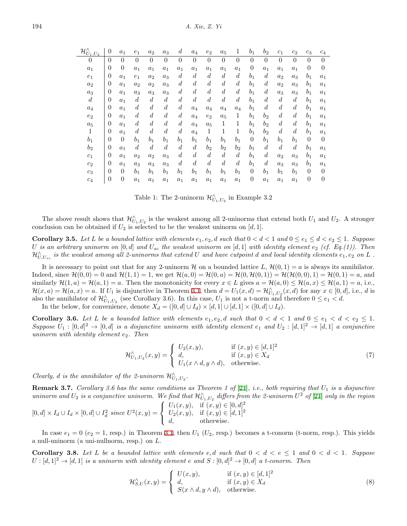| $\mathcal{H}^{\wedge}_{U_1,U_2}$ | $\theta$         | $a_1$            | $e_1$            | $a_2$            | $a_3$            | $\boldsymbol{d}$ | $a_4$            | $e_2$            | $a_5$            | 1                | $b_1$            | $b_2$            | $c_1$            | $c_2$            | $c_3$            | $c_4$          |
|----------------------------------|------------------|------------------|------------------|------------------|------------------|------------------|------------------|------------------|------------------|------------------|------------------|------------------|------------------|------------------|------------------|----------------|
| $\overline{0}$                   | $\overline{0}$   | $\theta$         | $\theta$         | $\theta$         | $\theta$         | $\theta$         | $\theta$         | $\theta$         | $\theta$         | $\overline{0}$   | $\theta$         | $\theta$         | $\theta$         | $\theta$         | $\theta$         | $\theta$       |
| $a_1$                            | $\overline{0}$   | $\theta$         | $a_1$            | $a_1$            | $a_1$            | $a_1$            | $a_1$            | $a_1$            | $a_1$            | $a_1$            | $\boldsymbol{0}$ | $a_1$            | $a_1$            | $a_1$            | $\boldsymbol{0}$ | $\overline{0}$ |
| $e_1$                            | $\overline{0}$   | $a_1$            | $e_1$            | $a_2$            | $a_3$            | $\boldsymbol{d}$ | $\overline{d}$   | $\boldsymbol{d}$ | $\boldsymbol{d}$ | $\boldsymbol{d}$ | $b_1$            | $\boldsymbol{d}$ | $a_2$            | $a_3$            | $b_1$            | $a_1$          |
| $a_2$                            | $\overline{0}$   | $a_1$            | $a_2$            | $a_2$            | $a_3$            | $\boldsymbol{d}$ | $\boldsymbol{d}$ | $\boldsymbol{d}$ | $\boldsymbol{d}$ | $\boldsymbol{d}$ | b <sub>1</sub>   | $\boldsymbol{d}$ | $a_2$            | $a_3$            | $b_1$            | $a_1$          |
| $a_3$                            | $\overline{0}$   | $a_1$            | $a_3$            | $a_3$            | $a_3$            | $\boldsymbol{d}$ | $\boldsymbol{d}$ | $\boldsymbol{d}$ | $\boldsymbol{d}$ | $\boldsymbol{d}$ | $b_1$            | $\boldsymbol{d}$ | $a_3$            | $a_3$            | $b_1$            | $a_1$          |
| $\overline{d}$                   | $\overline{0}$   | $a_1$            | $\boldsymbol{d}$ | $\overline{d}$   | $\boldsymbol{d}$ | $\boldsymbol{d}$ | $\boldsymbol{d}$ | $\overline{d}$   | $\boldsymbol{d}$ | $\boldsymbol{d}$ | $b_1$            | $\overline{d}$   | $\overline{d}$   | $\boldsymbol{d}$ | $b_1$            | $a_1$          |
| $a_4$                            | $\overline{0}$   | $a_1$            | $\boldsymbol{d}$ | $\boldsymbol{d}$ | $\boldsymbol{d}$ | $\boldsymbol{d}$ | $a_4$            | $a_4$            | $a_4$            | $a_4$            | b <sub>1</sub>   | $\boldsymbol{d}$ | $\boldsymbol{d}$ | $\boldsymbol{d}$ | $b_1$            | $a_1$          |
| $e_2$                            | $\overline{0}$   | $a_1$            | $\boldsymbol{d}$ | $\boldsymbol{d}$ | $\boldsymbol{d}$ | $\boldsymbol{d}$ | $a_4$            | $e_2$            | $a_5$            | 1                | b <sub>1</sub>   | $b_2$            | $\boldsymbol{d}$ | $\boldsymbol{d}$ | $b_1$            | $a_1$          |
| $a_5$                            | $\overline{0}$   | $a_1$            | $\boldsymbol{d}$ | $\boldsymbol{d}$ | $\boldsymbol{d}$ | $\boldsymbol{d}$ | $a_4$            | $a_5$            | 1                | 1                | b <sub>1</sub>   | b <sub>2</sub>   | $\boldsymbol{d}$ | $\boldsymbol{d}$ | $b_1$            | $a_1$          |
| 1                                | $\overline{0}$   | $a_1$            | $\boldsymbol{d}$ | $\boldsymbol{d}$ | $\boldsymbol{d}$ | $\boldsymbol{d}$ | $a_4$            | 1                | 1                | 1                | $b_1$            | b <sub>2</sub>   | $\boldsymbol{d}$ | $\boldsymbol{d}$ | $b_1$            | $a_1$          |
| $b_1$                            | $\overline{0}$   | $\theta$         | $b_1$            | $b_1$            | $b_1$            | $b_1$            | $b_1$            | $b_1$            | $b_1$            | $b_1$            | $\boldsymbol{0}$ | $b_1$            | $b_1$            | $b_1$            | $\overline{0}$   | $\theta$       |
| $b_{2}$                          | $\boldsymbol{0}$ | $a_1$            | $\boldsymbol{d}$ | $\boldsymbol{d}$ | $\boldsymbol{d}$ | $\boldsymbol{d}$ | $\boldsymbol{d}$ | b <sub>2</sub>   | $b_2$            | $b_2$            | b <sub>1</sub>   | $\boldsymbol{d}$ | $\boldsymbol{d}$ | $\boldsymbol{d}$ | $b_1$            | $a_1$          |
| c <sub>1</sub>                   | $\theta$         | $a_1$            | $a_2$            | $a_2$            | $a_3$            | $\boldsymbol{d}$ | $\boldsymbol{d}$ | $\boldsymbol{d}$ | $\boldsymbol{d}$ | $\boldsymbol{d}$ | $b_1$            | $\boldsymbol{d}$ | $a_2$            | $a_3$            | $b_1$            | $a_1$          |
| $c_2$                            | $\overline{0}$   | $a_1$            | $a_3$            | $a_3$            | $a_3$            | $\boldsymbol{d}$ | $\overline{d}$   | $\boldsymbol{d}$ | $\overline{d}$   | $\boldsymbol{d}$ | b <sub>1</sub>   | $\boldsymbol{d}$ | $a_3$            | $a_3$            | $b_1$            | $a_1$          |
| $c_3$                            | $\overline{0}$   | $\theta$         | $b_1$            | $b_1$            | $b_1$            | $b_1$            | $b_1$            | $b_1$            | $b_1$            | $b_1$            | $\boldsymbol{0}$ | $b_1$            | b <sub>1</sub>   | $b_1$            | $\theta$         | $\overline{0}$ |
| $c_4$                            | $\boldsymbol{0}$ | $\boldsymbol{0}$ | $a_1$            | $a_1$            | $a_1$            | $a_1$            | $a_1$            | $a_1$            | $a_1$            | $a_1$            | $\overline{0}$   | $a_1$            | $a_1$            | $a_1$            | $\overline{0}$   | $\theta$       |

Table 1: The 2-uninorm  $\mathcal{H}_{U_1,U_2}^{\wedge}$  in Example 3.2

The above result shows that  $\mathcal{H}_{U_1,U_2}^{\wedge}$  is the weakest among all 2-uninorms that extend both  $U_1$  and  $U_2$ . A stronger conclusion can be obtained if  $U_2$  is selected to be the weakest uninorm on [*d,* 1].

**Corollary 3.5.** Let L be a bounded lattice with elements  $e_1, e_2, d$  such that  $0 < d < 1$  and  $0 \le e_1 \le d < e_2 \le 1$ . Suppose *U* is an arbitrary uninorm on  $[0, d]$  and  $U_{sc}$  the weakest uninorm on  $[d, 1]$  with identity element  $e_2$  (cf. Eq.(1)). Then  $\mathcal{H}_{U,U_{sc}}^{\wedge}$  is the weakest among all 2-uninorms that extend  $U$  and have cutpoint  $d$  and local identity elements  $e_1,e_2$  on  $L$  .

It is necessary to point out that for any 2-uninorm *H* on a bounded lattice *L*,  $\mathcal{H}(0, 1) = a$  is always its annihilator. Indeed, since  $\mathcal{H}(0,0) = 0$  and  $\mathcal{H}(1,1) = 1$ , we get  $\mathcal{H}(a,0) = \mathcal{H}(0,a) = \mathcal{H}(0,\mathcal{H}(0,1)) = \mathcal{H}(\mathcal{H}(0,0),1) = \mathcal{H}(0,1) = a$ , and similarly  $\mathcal{H}(1,a) = \mathcal{H}(a,1) = a$ . Then the monotonicity for every  $x \in L$  gives  $a = \mathcal{H}(a,0) \leq \mathcal{H}(a,x) \leq \mathcal{H}(a,1) = a$ , i.e.,  $\mathcal{H}(x,a) = \mathcal{H}(a,x) = a$ . If  $U_1$  is disjunctive in Theorem [3.1](#page-2-0), then  $d = U_1(x,d) = \mathcal{H}_{U_1,U_2}^{\wedge}(x,d)$  for any  $x \in [0,d]$ , i.e., d is also the annihilator of  $\mathcal{H}_{U_1,U_2}^{\wedge}$  (see Corollary 3.6). In this case,  $U_1$  is not a t-norm and therefore  $0 \le e_1 < d$ .

In the below, for convenience, denote  $X_d = ([0, d] \cup I_d) \times [d, 1] \cup [d, 1] \times ([0, d] \cup I_d)$ .

**Corollary 3.6.** Let L be a bounded lattice with elements  $e_1, e_2, d$  such that  $0 < d < 1$  and  $0 \le e_1 < d < e_2 \le 1$ .  $Suppose U_1: [0, d]^2 \to [0, d]$  *is a disjunctive uninorm with identity element*  $e_1$  *and*  $U_2: [d, 1]^2 \to [d, 1]$  *a conjunctive uninorm with identity element e*2*. Then*

$$
\mathcal{H}^{\wedge}_{U_1, U_2}(x, y) = \begin{cases} U_2(x, y), & \text{if } (x, y) \in [d, 1]^2 \\ d, & \text{if } (x, y) \in X_d \\ U_1(x \wedge d, y \wedge d), & \text{otherwise.} \end{cases}
$$
(7)

*Clearly, d is the annihilator of the 2-uninorm*  $\mathcal{H}^{\wedge}_{U_1,U_2}$ .

<span id="page-5-1"></span>**Remark 3.7.** *Corollary 3.6 has the same conditions as Theorem 1 of* [\[21](#page-10-17)]*, i.e., both requiring that U*<sup>1</sup> *is a disjunctive uninorm and*  $U_2$  *is a conjunctive uninorm. We find that*  $\mathcal{H}_{U_1,U_2}^{\wedge}$  differs from the 2-uninorm  $U^2$  of [\[21](#page-10-17)] *only in the region* 

$$
[0,d] \times I_d \cup I_d \times [0,d] \cup I_d^2 \ \text{ since } U^2(x,y) = \begin{cases} U_1(x,y), & \text{if } (x,y) \in [0,d]^2 \\ U_2(x,y), & \text{if } (x,y) \in [d,1]^2 \\ d, & \text{otherwise.} \end{cases}
$$

In case  $e_1 = 0$  ( $e_2 = 1$ , resp.) in Theorem [3.1](#page-2-0), then  $U_1$  ( $U_2$ , resp.) becomes a t-conorm (t-norm, resp.). This yields a null-uninorm (a uni-nullnorm, resp.) on *L*.

<span id="page-5-0"></span>**Corollary 3.8.** Let L be a bounded lattice with elements  $e, d$  such that  $0 < d < e \leq 1$  and  $0 < d < 1$ . Suppose  $U : [d, 1]^2 \to [d, 1]$  *is a uninorm with identity element e* and  $S : [0, d]^2 \to [0, d]$  *a t-conorm. Then* 

$$
\mathcal{H}_{S,U}^{\wedge}(x,y) = \begin{cases} U(x,y), & \text{if } (x,y) \in [d,1]^2 \\ d, & \text{if } (x,y) \in X_d \\ S(x \wedge d, y \wedge d), & \text{otherwise.} \end{cases}
$$
\n(8)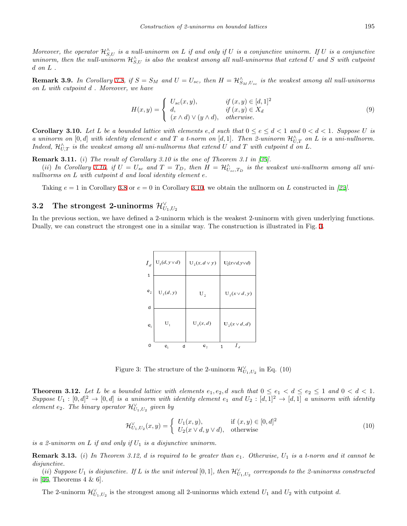*Moreover, the operator*  $\mathcal{H}_{S,U}^{\wedge}$  *is a null-uninorm on L if and only if U is a conjunctive uninorm. If U is a conjunctive*  $uninorm$ , then the null-uninorm  $\mathcal{H}_{S,U}^{\wedge}$  is also the weakest among all null-uninorms that extend  $U$  and  $S$  with cutpoint *d on L .*

**Remark 3.9.** In Corollary [3.8](#page-5-0), if  $S = S_M$  and  $U = U_{sc}$ , then  $H = \mathcal{H}_{S_M, U_{sc}}^{\wedge}$  is the weakest among all null-uninorms *on L with cutpoint d . Moreover, we have*

$$
H(x,y) = \begin{cases} U_{sc}(x,y), & \text{if } (x,y) \in [d,1]^2 \\ d, & \text{if } (x,y) \in X_d \\ (x \wedge d) \vee (y \wedge d), & \text{otherwise.} \end{cases}
$$
(9)

<span id="page-6-0"></span>**Corollary 3.10.** Let L be a bounded lattice with elements  $e, d$  such that  $0 \le e \le d < 1$  and  $0 < d < 1$ . Suppose U is *a* uninorm on  $[0,d]$  with identity element  $e$  and  $T$  *a*  $t$ -norm on  $[d,1]$ . Then 2-uninorm  $\mathcal{H}_{U,T}^{\wedge}$  on  $L$  is a uni-nullnorm. *Indeed,*  $\mathcal{H}_{U,T}^{\wedge}$  *is the weakest among all uni-nullnorms that extend*  $U$  *and*  $T$  *with cutpoint*  $d$  *on*  $L$ *.* 

**Remark 3.11.** (*i*) *The result of Corollary 3.10 is the one of Theorem 3.1 in [[39\]](#page-11-22).*

(ii) In Corollary [3.10](#page-6-0), if  $U = U_{sc}$  and  $T = T_D$ , then  $H = \mathcal{H}_{U_{sc},T_D}^{\wedge}$  is the weakest uni-nullnorm among all uni*nullnorms on L with cutpoint d and local identity element e.*

Taking *e* = 1 in Corollary [3.8](#page-5-0) or *e* = 0 in Corollary [3.10](#page-6-0), we obtain the nullnorm on *L* constructed in *[[22\]](#page-11-18)*.

# $\boldsymbol{3.2} \quad$  The strongest 2-uninorms  $\mathcal{H}^{\vee}_{U_1,U_2}$

In the previous section, we have defined a 2-uninorm which is the weakest 2-uninorm with given underlying functions. Dually, we can construct the strongest one in a similar way. The construction is illustrated in Fig. [3](#page-6-1).

| $\boldsymbol{I}_d$<br>1             | $\mathrm{U}_2(d,y\!\vee\!d)$ | $U_2(x, d \vee y)$      | $U_2(x \vee d, y \vee d)$ |
|-------------------------------------|------------------------------|-------------------------|---------------------------|
|                                     |                              |                         |                           |
| $\mathbf{e}_{\scriptscriptstyle 2}$ | $U_2(d, y)$                  | $\mathrm{U}_\mathrm{2}$ | $U_2(x \vee d, y)$        |
| d                                   |                              |                         |                           |
| $e_1$                               | $U_1$                        | $U_2(x,d)$              | $U_2(x \vee d, d)$        |
| 0                                   | d<br>$e_1$                   | e <sub>2</sub>          | $I_d$<br>1                |

<span id="page-6-1"></span>Figure 3: The structure of the 2-uninorm  $\mathcal{H}_{U_1,U_2}^{\vee}$  in Eq. (10)

**Theorem 3.12.** Let L be a bounded lattice with elements  $e_1, e_2, d$  such that  $0 \le e_1 < d \le e_2 \le 1$  and  $0 < d < 1$ .  $Suppose U_1: [0, d]^2 \to [0, d]$  *is a uninorm with identity element*  $e_1$  *and*  $U_2: [d, 1]^2 \to [d, 1]$  *a uninorm with identity element e*<sub>2</sub>*. The binary operator*  $\mathcal{H}_{U_1,U_2}^{\vee}$  *given by* 

$$
\mathcal{H}_{U_1,U_2}^{\vee}(x,y) = \begin{cases} U_1(x,y), & \text{if } (x,y) \in [0,d]^2\\ U_2(x \vee d, y \vee d), & \text{otherwise} \end{cases}
$$
\n
$$
(10)
$$

*is a 2-uninorm on L if and only if U*<sup>1</sup> *is a disjunctive uninorm.*

**Remark 3.13.** (*i*) *In Theorem 3.12, d is required to be greater than e*1*. Otherwise, U*<sup>1</sup> *is a t-norm and it cannot be disjunctive.*

 $(i)$  *Suppose*  $U_1$  *is disjunctive. If*  $L$  *is the unit interval*  $[0,1]$ *, then*  $\mathcal{H}_{U_1,U_2}^{\vee}$  *corresponds to the 2-uninorms constructed in* [\[46](#page-11-14), Theorems 4 & 6]*.*

The 2-uninorm  $\mathcal{H}_{U_1,U_2}^{\vee}$  is the strongest among all 2-uninorms which extend  $U_1$  and  $U_2$  with cutpoint *d*.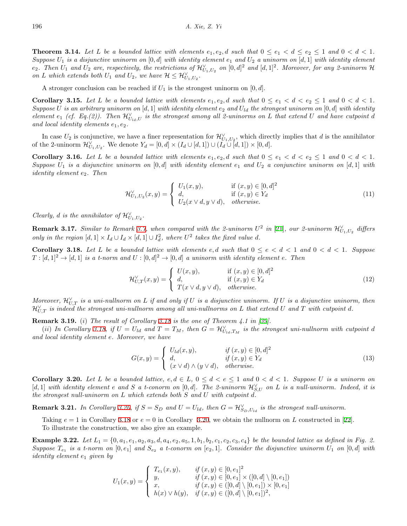**Theorem 3.14.** Let L be a bounded lattice with elements  $e_1, e_2, d$  such that  $0 \le e_1 < d \le e_2 \le 1$  and  $0 < d < 1$ . *Suppose U*<sup>1</sup> *is a disjunctive uninorm on* [0*, d*] *with identity element e*<sup>1</sup> *and U*<sup>2</sup> *a uninorm on* [*d,* 1] *with identity element*  $e_2$ . Then  $U_1$  and  $U_2$  are, respectively, the restrictions of  $\mathcal{H}_{U_1,U_2}^{\vee}$  on  $[0,d]^2$  and  $[d,1]^2$ . Moreover, for any 2-uninorm  $\mathcal H$ *on L which extends both*  $U_1$  *and*  $U_2$ *, we have*  $\mathcal{H} \leq \mathcal{H}_{U_1, U_2}^{\vee}$ *.* 

A stronger conclusion can be reached if  $U_1$  is the strongest uninorm on  $[0, d]$ .

**Corollary 3.15.** Let L be a bounded lattice with elements  $e_1, e_2, d$  such that  $0 \le e_1 < d < e_2 \le 1$  and  $0 < d < 1$ . *Suppose U* is an arbitrary uninorm on [*d,* 1] *with identity element*  $e_2$  *and*  $U_{ld}$  *the strongest uninorm on* [0*, d*] *with identity element*  $e_1$  (*cf.* Eq.(2)). Then  $\mathcal{H}_{U_{ld},U}^{\vee}$  is the strongest among all 2-uninorms on *L* that extend *U* and have cutpoint *d and local identity elements e*1*, e*2*.*

In case  $U_2$  is conjunctive, we have a finer representation for  $\mathcal{H}_{U_1,U_2}^{\vee}$ , which directly implies that *d* is the annihilator of the 2-uninorm  $\mathcal{H}_{U_1, U_2}^{\vee}$ . We denote  $Y_d = [0, d] \times (I_d \cup [d, 1]) \cup (I_d \cup [d, 1]) \times [0, d]$ .

**Corollary 3.16.** Let L be a bounded lattice with elements  $e_1, e_2, d$  such that  $0 \leq e_1 < d < e_2 \leq 1$  and  $0 < d < 1$ . *Suppose*  $U_1$  *is a disjunctive uninorm on* [0*, d*] *with identity element*  $e_1$  *and*  $U_2$  *a conjunctive uninorm on* [*d,* 1] *with identity element e*2*. Then*

$$
\mathcal{H}_{U_1,U_2}^{\vee}(x,y) = \begin{cases} U_1(x,y), & \text{if } (x,y) \in [0,d]^2 \\ d, & \text{if } (x,y) \in Y_d \\ U_2(x \vee d, y \vee d), & otherwise. \end{cases}
$$
\n
$$
(11)
$$

*Clearly, d is the annihilator of*  $\mathcal{H}_{U_1,U_2}^{\vee}$ .

**Remark 3.17.** *Similar to Remark [3.7](#page-5-1), when compared with the 2-uninorm*  $U^2$  *in* [\[21](#page-10-17)]*, our 2-uninorm*  $\mathcal{H}_{U_1,U_2}^{\vee}$  *differs only in the region*  $[d, 1] \times I_d \cup I_d \times [d, 1] \cup I_d^2$ , where  $U^2$  takes the fixed value *d*.

<span id="page-7-0"></span>**Corollary 3.18.** Let L be a bounded lattice with elements e,d such that  $0 \le e \le d \le 1$  and  $0 \le d \le 1$ . Suppose  $T : [d, 1]^2 \to [d, 1]$  *is a t-norm and*  $U : [0, d]^2 \to [0, d]$  *a uninorm with identity element e. Then* 

$$
\mathcal{H}_{U,T}^{\vee}(x,y) = \begin{cases} U(x,y), & \text{if } (x,y) \in [0,d]^2\\ d, & \text{if } (x,y) \in Y_d\\ T(x \vee d, y \vee d), & otherwise. \end{cases}
$$
\n(12)

*Moreover,*  $\mathcal{H}_{U,T}^{\vee}$  *is a uni-nullnorm on L if and only if U is a disjunctive uninorm. If U is a disjunctive uninorm, then*  $\mathcal{H}_{U,T}^{\vee}$  *is indeed the strongest uni-nullnorm among all uni-nullnorms on*  $L$  *that extend*  $U$  *and*  $T$  *with cutpoint*  $d$ *.* 

**Remark 3.19.** (*i*) *The result of Corollary [3.18](#page-7-0) is the one of Theorem 4.1 in [[39\]](#page-11-22).*

(ii) In Corollary [3.18](#page-7-0), if  $U = U_{ld}$  and  $T = T_M$ , then  $G = \mathcal{H}_{U_{ld},T_M}^{\vee}$  is the strongest uni-nullnorm with cutpoint d *and local identity element e. Moreover, we have*

$$
G(x,y) = \begin{cases} U_{ld}(x,y), & \text{if } (x,y) \in [0,d]^2 \\ d, & \text{if } (x,y) \in Y_d \\ (x \vee d) \wedge (y \vee d), & otherwise. \end{cases}
$$
(13)

<span id="page-7-1"></span>**Corollary 3.20.** Let L be a bounded lattice,  $e, d \in L$ ,  $0 \leq d < e \leq 1$  and  $0 < d < 1$ . Suppose U is a uninorm on  $[d,1]$  with identity element  $e$  and  $S$  a t-conorm on  $[0,d]$ . The 2-uninorm  $\mathcal{H}_{S,U}^{\vee}$  on  $L$  is a null-uninorm. Indeed, it is *the strongest null-uninorm on L which extends both S and U with cutpoint d.*

**Remark 3.21.** In Corollary [3.20,](#page-7-1) if  $S = S_D$  and  $U = U_{ld}$ , then  $G = \mathcal{H}_{S_D, U_{ld}}^{\vee}$  is the strongest null-uninorm.

Taking  $e = 1$  in Corollary [3.18](#page-7-0) or  $e = 0$  in Corollary [3.20](#page-7-1), we obtain the nullnorm on *L* constructed in [[22\]](#page-11-18). To illustrate the construction, we also give an example.

**Example 3.22.** Let  $L_1 = \{0, a_1, e_1, a_2, a_3, d, a_4, e_2, a_5, 1, b_1, b_2, c_1, c_2, c_3, c_4\}$  be the bounded lattice as defined in Fig. 2. Suppose  $T_{e_1}$  is a t-norm on  $[0,e_1]$  and  $S_{e_2}$  a t-conorm on  $[e_2,1]$ . Consider the disjunctive uninorm  $U_1$  on  $[0,d]$  with *identity element e*<sup>1</sup> *given by*

$$
U_1(x,y) = \begin{cases} T_{e_1}(x,y), & \text{if } (x,y) \in [0,e_1]^2 \\ y, & \text{if } (x,y) \in [0,e_1] \times ([0,d] \setminus [0,e_1]) \\ x, & \text{if } (x,y) \in ([0,d] \setminus [0,e_1]) \times [0,e_1] \\ h(x) \vee h(y), & \text{if } (x,y) \in ([0,d] \setminus [0,e_1])^2, \end{cases}
$$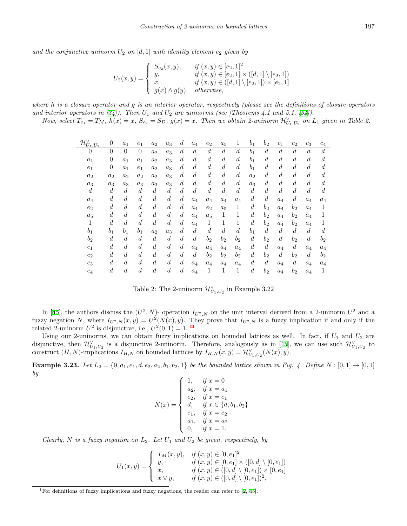and the conjunctive uninorm  $U_2$  on  $[d, 1]$  with identity element  $e_2$  given by

$$
U_2(x,y) = \begin{cases} S_{e_2}(x,y), & \text{if } (x,y) \in [e_2,1]^2 \\ y, & \text{if } (x,y) \in [e_2,1] \times ([d,1] \setminus [e_2,1]) \\ x, & \text{if } (x,y) \in ([d,1] \setminus [e_2,1]) \times [e_2,1] \\ g(x) \wedge g(y), & \text{otherwise,} \end{cases}
$$

*where h is a closure operator and g is an interior operator, respectively (please see the definitions of closure operators* and interior operators in  $[34]$  $[34]$ . Then  $U_1$  and  $U_2$  are uninorms (see [Theorems 4.1 and 5.1,  $[34]$  $[34]$ ).

Now, select  $T_{e_1} = T_M$ ,  $h(x) = x$ ,  $S_{e_2} = S_D$ ,  $g(x) = x$ . Then we obtain 2-uninorm  $\mathcal{H}_{U_1,U_2}^{\vee}$  on  $L_1$  given in Table 2.

| $\mathcal{H}^{\vee}_{U_1,U_2}$ | $\overline{0}$ | $a_1$            | $e_1$            | $a_2$            | $a_3$            | $\boldsymbol{d}$ | $a_4$            | $e_2$            | $a_5$            | 1                | $b_1$            | $b_2$            | $c_1$            | $c_2$            | $c_3$            | $c_4$            |
|--------------------------------|----------------|------------------|------------------|------------------|------------------|------------------|------------------|------------------|------------------|------------------|------------------|------------------|------------------|------------------|------------------|------------------|
| 0                              | $\theta$       | $\theta$         | $\overline{0}$   | $a_2$            | $a_3$            | $\overline{d}$   | $\boldsymbol{d}$ | $\boldsymbol{d}$ | $\boldsymbol{d}$ | $\boldsymbol{d}$ | $b_1$            | $\boldsymbol{d}$ | $\boldsymbol{d}$ | $\boldsymbol{d}$ | $\boldsymbol{d}$ | $\overline{d}$   |
| $a_1$                          | $\overline{0}$ | $a_1$            | $a_1$            | $a_2$            | $a_3$            | $\boldsymbol{d}$ | $\boldsymbol{d}$ | $\boldsymbol{d}$ | $\boldsymbol{d}$ | $\boldsymbol{d}$ | $b_1$            | $\boldsymbol{d}$ | $\boldsymbol{d}$ | $\boldsymbol{d}$ | $\boldsymbol{d}$ | $\boldsymbol{d}$ |
| $e_1$                          | $\overline{0}$ | $a_1$            | $e_1$            | $a_2$            | $a_3$            | $\boldsymbol{d}$ | $\boldsymbol{d}$ | $\boldsymbol{d}$ | $\boldsymbol{d}$ | $\boldsymbol{d}$ | $b_1$            | $\boldsymbol{d}$ | $\boldsymbol{d}$ | $\boldsymbol{d}$ | $\boldsymbol{d}$ | $\boldsymbol{d}$ |
| $a_2$                          | $a_2$          | $a_2$            | $a_2$            | $a_2$            | $a_3$            | $\boldsymbol{d}$ | $\boldsymbol{d}$ | $\boldsymbol{d}$ | $\boldsymbol{d}$ | $\boldsymbol{d}$ | $a_2$            | $\boldsymbol{d}$ | $\boldsymbol{d}$ | $\boldsymbol{d}$ | $\boldsymbol{d}$ | $\overline{d}$   |
| $a_3$                          | $a_3$          | $a_3$            | $a_3$            | $a_3$            | $a_3$            | $\boldsymbol{d}$ | $\boldsymbol{d}$ | $\boldsymbol{d}$ | $\boldsymbol{d}$ | $\boldsymbol{d}$ | $a_3$            | $\boldsymbol{d}$ | $\boldsymbol{d}$ | $\boldsymbol{d}$ | $\boldsymbol{d}$ | $\boldsymbol{d}$ |
| $\boldsymbol{d}$               | $\overline{d}$ | $\boldsymbol{d}$ | $\boldsymbol{d}$ | $\boldsymbol{d}$ | $\boldsymbol{d}$ | $\boldsymbol{d}$ | $\boldsymbol{d}$ | $\boldsymbol{d}$ | $\boldsymbol{d}$ | $\boldsymbol{d}$ | $\boldsymbol{d}$ | $\boldsymbol{d}$ | $\overline{d}$   | $\boldsymbol{d}$ | $\boldsymbol{d}$ | $\boldsymbol{d}$ |
| $a_4$                          | $\overline{d}$ | $\boldsymbol{d}$ | $\boldsymbol{d}$ | $\boldsymbol{d}$ | $\boldsymbol{d}$ | $\boldsymbol{d}$ | $a_4$            | $a_4$            | $a_4$            | $a_4$            | $\boldsymbol{d}$ | $\boldsymbol{d}$ | $a_4$            | $\boldsymbol{d}$ | $a_4$            | $a_4$            |
| $e_2$                          | $\overline{d}$ | $\boldsymbol{d}$ | $\boldsymbol{d}$ | $\boldsymbol{d}$ | $\boldsymbol{d}$ | $\boldsymbol{d}$ | $a_4$            | $e_2$            | $a_5$            | 1                | $\boldsymbol{d}$ | $b_2$            | $a_4$            | $b_2$            | $a_4$            | 1                |
| $a_5$                          | $\overline{d}$ | $\boldsymbol{d}$ | $\boldsymbol{d}$ | $\boldsymbol{d}$ | $\boldsymbol{d}$ | $\boldsymbol{d}$ | $a_4$            | $a_5$            | 1                | 1                | $\boldsymbol{d}$ | $b_2$            | $a_4$            | $b_2$            | $a_4$            |                  |
| 1                              | $\overline{d}$ | $\boldsymbol{d}$ | $\boldsymbol{d}$ | $\overline{d}$   | $\boldsymbol{d}$ | $\boldsymbol{d}$ | $a_4$            | 1                | 1                | 1                | $\boldsymbol{d}$ | $b_2$            | $a_4$            | $b_2$            | $a_4$            |                  |
| $b_1$                          | b <sub>1</sub> | $b_1$            | $b_1$            | $a_2$            | $a_3$            | $\boldsymbol{d}$ | $\boldsymbol{d}$ | $\boldsymbol{d}$ | $\boldsymbol{d}$ | $\boldsymbol{d}$ | $b_1$            | $\boldsymbol{d}$ | $\boldsymbol{d}$ | $\boldsymbol{d}$ | $\boldsymbol{d}$ | $\boldsymbol{d}$ |
| $b_2$                          | $\overline{d}$ | $\boldsymbol{d}$ | $\boldsymbol{d}$ | $\boldsymbol{d}$ | $\boldsymbol{d}$ | $\boldsymbol{d}$ | $\boldsymbol{d}$ | b <sub>2</sub>   | b <sub>2</sub>   | b <sub>2</sub>   | $\boldsymbol{d}$ | $b_2$            | $\overline{d}$   | $b_{2}$          | $\boldsymbol{d}$ | $b_2$            |
| $c_1$                          | $\overline{d}$ | $\boldsymbol{d}$ | $\boldsymbol{d}$ | $\boldsymbol{d}$ | $\boldsymbol{d}$ | $\boldsymbol{d}$ | $a_4$            | $a_4$            | $a_4$            | $a_4$            | $\boldsymbol{d}$ | $\boldsymbol{d}$ | $a_4$            | $\boldsymbol{d}$ | $a_4$            | $a_4$            |
| $c_2$                          | $\overline{d}$ | $\boldsymbol{d}$ | $\boldsymbol{d}$ | $\boldsymbol{d}$ | $\boldsymbol{d}$ | $\boldsymbol{d}$ | $\boldsymbol{d}$ | $b_2$            | $b_{2}$          | $b_2$            | $\boldsymbol{d}$ | $b_2$            | $\boldsymbol{d}$ | $b_2$            | $\boldsymbol{d}$ | $b_2$            |
| $c_3$                          | $\overline{d}$ | $\boldsymbol{d}$ | $\boldsymbol{d}$ | $\boldsymbol{d}$ | $\boldsymbol{d}$ | $\boldsymbol{d}$ | $a_4$            | $a_4$            | $a_4$            | $a_4$            | $\boldsymbol{d}$ | $\boldsymbol{d}$ | $a_4$            | $\boldsymbol{d}$ | $a_4$            | $a_4$            |
| $c_4$                          | $\overline{d}$ | $\boldsymbol{d}$ | $\boldsymbol{d}$ | $\boldsymbol{d}$ | $\boldsymbol{d}$ | $\overline{d}$   | $a_4$            | 1                | 1                | 1                | $\boldsymbol{d}$ | $b_2$            | $a_4$            | $b_2$            | $a_4$            |                  |

Table 2: The 2-uninorm  $\mathcal{H}_{U_1,U_2}^{\vee}$  in Example 3.22

In [[45\]](#page-11-13), the authors discuss the  $(U^2, N)$ - operation  $I_{U^2, N}$  on the unit interval derived from a 2-uninorm  $U^2$  and a fuzzy negation *N*, where  $I_{U^2,N}(x,y) = U^2(N(x),y)$ . They prove that  $I_{U^2,N}$  is a fuzzy implication if and only if the related 2-uninorm  $U^2$  is disjunctive, i.e.,  $U^2(0,1) = 1$  $U^2(0,1) = 1$  $U^2(0,1) = 1$ .<sup>1</sup>

Using our 2-uninorms, we can obtain fuzzy implications on bounded lattices as well. In fact, if  $U_1$  and  $U_2$  are disjunctive, then  $\mathcal{H}_{U_1,U_2}^{\vee}$  is a disjunctive 2-uninorm. Therefore, analogously as in [[45\]](#page-11-13), we can use such  $\mathcal{H}_{U_1,U_2}^{\vee}$  to construct  $(H, N)$ -implications  $I_{H,N}$  on bounded lattices by  $I_{H,N}(x, y) = \mathcal{H}_{U_1, U_2}^{\vee}(N(x), y)$ .

**Example 3.23.** Let  $L_2 = \{0, a_1, e_1, d, e_2, a_2, b_1, b_2, 1\}$  be the bounded lattice shown in Fig. 4. Define  $N : [0,1] \to [0,1]$ *by*

$$
N(x) = \begin{cases} 1, & \text{if } x = 0 \\ a_2, & \text{if } x = a_1 \\ e_2, & \text{if } x = e_1 \\ d, & \text{if } x \in \{d, b_1, b_2\} \\ e_1, & \text{if } x = e_2 \\ a_1, & \text{if } x = a_2 \\ 0, & \text{if } x = 1. \end{cases}
$$

*Clearly, N is a fuzzy negation on L*2*. Let U*<sup>1</sup> *and U*<sup>2</sup> *be given, respectively, by*

$$
U_1(x,y) = \begin{cases} T_M(x,y), & \text{if } (x,y) \in [0,e_1]^2 \\ y, & \text{if } (x,y) \in [0,e_1] \times ([0,d] \setminus [0,e_1]) \\ x, & \text{if } (x,y) \in ([0,d] \setminus [0,e_1]) \times [0,e_1] \\ x \vee y, & \text{if } (x,y) \in ([0,d] \setminus [0,e_1])^2, \end{cases}
$$

<span id="page-8-0"></span><sup>&</sup>lt;sup>1</sup>For definitions of fuzzy implications and fuzzy negations, the reader can refer to [[2,](#page-10-20) [45\]](#page-11-13).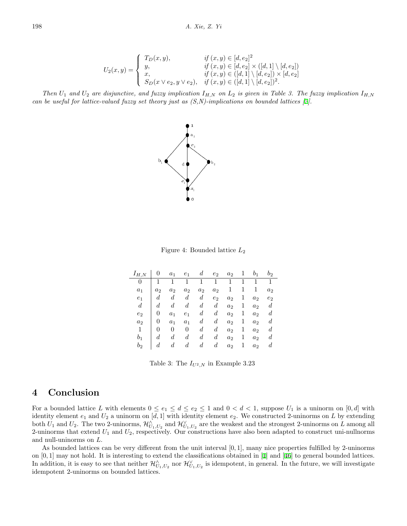$$
U_2(x,y) = \begin{cases} T_D(x,y), & \text{if } (x,y) \in [d,e_2]^2 \\ y, & \text{if } (x,y) \in [d,e_2] \times ([d,1] \setminus [d,e_2]) \\ x, & \text{if } (x,y) \in ([d,1] \setminus [d,e_2]) \times [d,e_2] \\ S_D(x \vee e_2, y \vee e_2), & \text{if } (x,y) \in ([d,1] \setminus [d,e_2])^2. \end{cases}
$$

*Then*  $U_1$  and  $U_2$  are disjunctive, and fuzzy implication  $I_{H,N}$  on  $L_2$  is given in Table 3. The fuzzy implication  $I_{H,N}$ *can be useful for lattice-valued fuzzy set theory just as (S,N)-implications on bounded lattices [[2](#page-10-20)].*



Figure 4: Bounded lattice *L*<sup>2</sup>

| $I_{H,N}$      |                  | $a_1$            | $e_1$          | d                | $e_2$       | $a_2$          | 1 | b <sub>1</sub> | $b_2$            |
|----------------|------------------|------------------|----------------|------------------|-------------|----------------|---|----------------|------------------|
| 0              | 1                | 1                | 1              | 1                | 1           | 1              | 1 | $\mathbf{1}$   | $\mathbf{1}$     |
| $a_1$          | a <sub>2</sub>   | a <sub>2</sub>   | a <sub>2</sub> | a <sub>2</sub>   | $a_2$       | 1              |   | 1              | a <sub>2</sub>   |
| e <sub>1</sub> | d                | $\boldsymbol{d}$ | $d_{\cdot}$    | $d_{\cdot}$      | $e_2$       | a <sub>2</sub> | 1 | a <sub>2</sub> | e <sub>2</sub>   |
| $d\,$          | d                | $\boldsymbol{d}$ | $d_{\cdot}$    | $d_{\cdot}$      | $d_{-}$     | a <sub>2</sub> | 1 | a <sub>2</sub> | $\boldsymbol{d}$ |
| e <sub>2</sub> | 0                | a <sub>1</sub>   | $e_1$          | d                | d           | a <sub>2</sub> | 1 | a <sub>2</sub> | $\overline{d}$   |
| a <sub>2</sub> | 0                | a <sub>1</sub>   | a <sub>1</sub> | d                | $d_{\cdot}$ | a <sub>2</sub> | 1 | a <sub>2</sub> | $\overline{d}$   |
| 1              | 0                | 0                | 0              | d                | $d_{\cdot}$ | a <sub>2</sub> | 1 | a <sub>2</sub> | $\overline{d}$   |
| $b_1$          | d                | $\boldsymbol{d}$ | d              | $\boldsymbol{d}$ | $d_{\cdot}$ | a <sub>2</sub> | 1 | a <sub>2</sub> | $\overline{d}$   |
| b2             | $\boldsymbol{d}$ | d                | d              | $d_{\cdot}$      | $d_{\cdot}$ | a <sub>2</sub> | 1 | a <sub>2</sub> | $\boldsymbol{d}$ |

Table 3: The  $I_{U^2,N}$  in Example 3.23

# **4 Conclusion**

For a bounded lattice *L* with elements  $0 \le e_1 \le d \le e_2 \le 1$  and  $0 < d < 1$ , suppose  $U_1$  is a uninorm on  $[0, d]$  with identity element *e*<sup>1</sup> and *U*<sup>2</sup> a uninorm on [*d,* 1] with identity element *e*2. We constructed 2-uninorms on *L* by extending both  $U_1$  and  $U_2$ . The two 2-uninorms,  $\mathcal{H}^{\wedge}_{U_1,U_2}$  and  $\mathcal{H}^{\vee}_{U_1,U_2}$  are the weakest and the strongest 2-uninorms on *L* among all 2-uninorms that extend *U*<sup>1</sup> and *U*2, respectively. Our constructions have also been adapted to construct uni-nullnorms and null-uninorms on *L*.

As bounded lattices can be very different from the unit interval [0*,* 1], many nice properties fulfilled by 2-uninorms on [0*,* 1] may not hold. It is interesting to extend the classifications obtained in [\[1](#page-10-5)] and [[46\]](#page-11-14) to general bounded lattices. In addition, it is easy to see that neither  $\mathcal{H}^{\wedge}_{U_1,U_2}$  nor  $\mathcal{H}^{\vee}_{U_1,U_2}$  is idempotent, in general. In the future, we will investigate idempotent 2-uninorms on bounded lattices.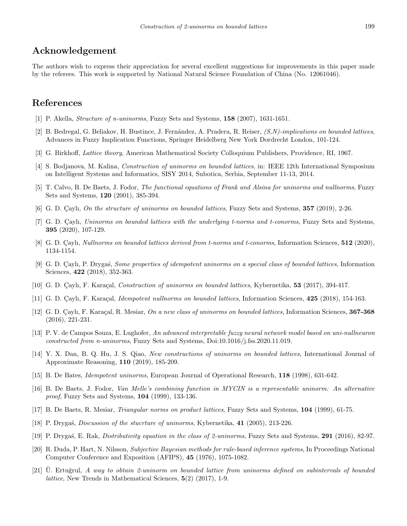# **Acknowledgement**

The authors wish to express their appreciation for several excellent suggestions for improvements in this paper made by the referees. This work is supported by National Natural Science Foundation of China (No. 12061046).

# **References**

- <span id="page-10-5"></span>[1] P. Akella, *Structure of n-uninorms*, Fuzzy Sets and Systems, **158** (2007), 1631-1651.
- <span id="page-10-20"></span>[2] B. Bedregal, G. Beliakov, H. Bustince, J. Fern´andez, A. Pradera, R. Reiser, *(S,N)-implications on bounded lattices*, Advances in Fuzzy Implication Functions, Springer Heidelberg New York Dordrecht London, 101-124.
- <span id="page-10-18"></span>[3] G. Birkhoff, *Lattice theory*, American Mathematical Society Colloquium Publishers, Providence, RI, 1967.
- <span id="page-10-8"></span>[4] S. Bodjanova, M. Kalina, *Construction of uninorms on bounded lattices*, in: IEEE 12th International Symposium on Intelligent Systems and Informatics, SISY 2014, Subotica, Serbia, September 11-13, 2014.
- <span id="page-10-4"></span>[5] T. Calvo, B. De Baets, J. Fodor, *The functional equations of Frank and Alsina for uninorms and nullnorms*, Fuzzy Sets and Systems, **120** (2001), 385-394.
- <span id="page-10-9"></span>[6] G. D. Cayli, *On the structure of uninorms on bounded lattices*, Fuzzy Sets and Systems, **357** (2019), 2-26.
- <span id="page-10-10"></span>[7] G. D. Çaylı, *Uninorms on bounded lattices with the underlying t-norms and t-conorms*, Fuzzy Sets and Systems, **395** (2020), 107-129.
- <span id="page-10-15"></span>[8] G. D. Cayli, *Nullnorms on bounded lattices derived from t-norms and t-conorms*, Information Sciences, **512** (2020), 1134-1154.
- <span id="page-10-11"></span>[9] G. D. C¸ aylı, P. Dryga´s, *Some properties of idempotent uninorms on a special class of bounded lattices*, Information Sciences, **422** (2018), 352-363.
- <span id="page-10-12"></span>[10] G. D. Çaylı, F. Karaçal, *Construction of uninorms on bounded lattices*, Kybernetika, **53** (2017), 394-417.
- <span id="page-10-16"></span>[11] G. D. Çaylı, F. Karaçal, *Idempotent nullnorms on bounded lattices*, Information Sciences, 425 (2018), 154-163.
- <span id="page-10-13"></span>[12] G. D. C¸ aylı, F. Kara¸cal, R. Mesiar, *On a new class of uninorms on bounded lattices*, Information Sciences, **367-368** (2016), 221-231.
- <span id="page-10-6"></span>[13] P. V. de Campos Souza, E. Lughofer, *An advanced interpretable fuzzy neural network model based on uni-nullneuron constructed from n-uninorms*, Fuzzy Sets and Systems, Doi:10.1016/j.fss.2020.11.019.
- <span id="page-10-14"></span>[14] Y. X. Dan, B. Q. Hu, J. S. Qiao, *New constructions of uninorms on bounded lattices*, International Journal of Approximate Reasoning, **110** (2019), 185-209.
- <span id="page-10-2"></span>[15] B. De Bates, *Idempotent uninorms*, European Journal of Operational Research, **118** (1998), 631-642.
- <span id="page-10-0"></span>[16] B. De Baets, J. Fodor, *Van Melle's combining function in MYCIN is a representable uninorm: An alternative proof*, Fuzzy Sets and Systems, **104** (1999), 133-136.
- <span id="page-10-19"></span>[17] B. De Baets, R. Mesiar, *Triangular norms on product lattices*, Fuzzy Sets and Systems, **104** (1999), 61-75.
- <span id="page-10-3"></span>[18] P. Dryga´s, *Discussion of the stucrture of uninorms*, Kybernetika, **41** (2005), 213-226.
- <span id="page-10-7"></span>[19] P. Dryga´s, E. Rak, *Distributivity equation in the class of 2-uninorms*, Fuzzy Sets and Systems, **291** (2016), 82-97.
- <span id="page-10-1"></span>[20] R. Duda, P. Hart, N. Nilsson, *Subjective Bayesian methods for rule-based inference systems*, In Proceedings National Computer Conference and Exposition (AFIPS), **45** (1976), 1075-1082.
- <span id="page-10-17"></span>[21] U. Ertuğrul, A way to obtain 2-uninorm on bounded lattice from uninorms defined on subintervals of bounded *lattice*, New Trends in Mathematical Sciences, **5**(2) (2017), 1-9.